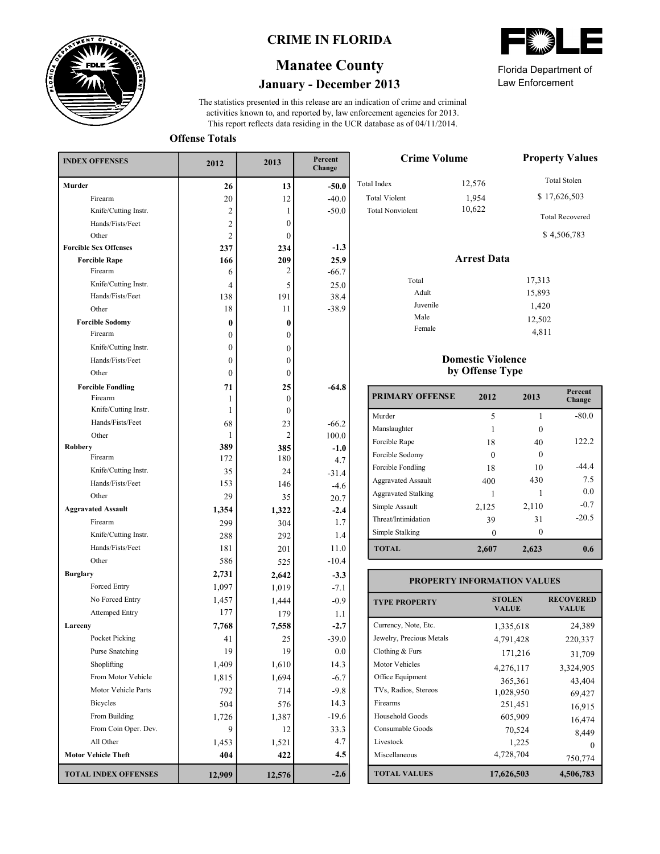

## **CRIME IN FLORIDA**

# **January - December 2013 Manatee County**

This report reflects data residing in the UCR database as of 04/11/2014. activities known to, and reported by, law enforcement agencies for 2013. The statistics presented in this release are an indication of crime and criminal

**Offense Totals**

| <b>INDEX OFFENSES</b>        | 2012             | 2013         | Percent<br>Change |
|------------------------------|------------------|--------------|-------------------|
| Murder                       | 26               | 13           | $-50.0$           |
| Firearm                      | 20               | 12           | $-40.0$           |
| Knife/Cutting Instr.         | 2                | 1            | $-50.0$           |
| Hands/Fists/Feet             | 2                | $\mathbf{0}$ |                   |
| Other                        | 2                | $\mathbf{0}$ |                   |
| <b>Forcible Sex Offenses</b> | 237              | 234          | $-1.3$            |
| <b>Forcible Rape</b>         | 166              | 209          | 25.9              |
| Firearm                      | 6                | 2            | $-66.7$           |
| Knife/Cutting Instr.         | 4                | 5            | 25.0              |
| Hands/Fists/Feet             | 138              | 191          | 38.4              |
| Other                        | 18               | 11           | $-38.9$           |
| <b>Forcible Sodomy</b>       | 0                | 0            |                   |
| Firearm                      | $\mathbf{0}$     | $\mathbf{0}$ |                   |
| Knife/Cutting Instr.         | $\boldsymbol{0}$ | 0            |                   |
| Hands/Fists/Feet             | $\mathbf{0}$     | 0            |                   |
| Other                        | $\mathbf{0}$     | $\mathbf{0}$ |                   |
| <b>Forcible Fondling</b>     | 71               | 25           | $-64.8$           |
| Firearm                      | 1                | 0            |                   |
| Knife/Cutting Instr.         | 1                | $\mathbf{0}$ |                   |
| Hands/Fists/Feet             | 68               | 23           | $-66.2$           |
| Other                        | 1                | 2            | 100.0             |
| <b>Robbery</b><br>Firearm    | 389              | 385          | $-1.0$            |
|                              | 172              | 180          | 4.7               |
| Knife/Cutting Instr.         | 35               | 24           | $-31.4$           |
| Hands/Fists/Feet             | 153              | 146          | $-4.6$            |
| Other                        | 29               | 35           | 20.7              |
| <b>Aggravated Assault</b>    | 1,354            | 1,322        | $-2.4$            |
| Firearm                      | 299              | 304          | 1.7               |
| Knife/Cutting Instr.         | 288              | 292          | 1.4               |
| Hands/Fists/Feet             | 181              | 201          | 11.0              |
| Other                        | 586              | 525          | $-10.4$           |
| <b>Burglary</b>              | 2,731            | 2,642        | $-3.3$            |
| Forced Entry                 | 1,097            | 1,019        | $-7.1$            |
| No Forced Entry              | 1,457            | 1,444        | $-0.9$            |
| <b>Attemped Entry</b>        | 177              | 179          | 1.1               |
| Larceny                      | 7,768            | 7,558        | $-2.7$            |
| Pocket Picking               | 41               | 25           | $-39.0$           |
| Purse Snatching              | 19               | 19           | 0.0               |
| Shoplifting                  | 1,409            | 1,610        | 14.3              |
| From Motor Vehicle           | 1,815            | 1,694        | $-6.7$            |
| Motor Vehicle Parts          | 792              | 714          | $-9.8$            |
| <b>Bicycles</b>              | 504              | 576          | 14.3              |
| From Building                | 1,726            | 1,387        | $-19.6$           |
| From Coin Oper. Dev.         | 9                | 12           | 33.3              |
| All Other                    | 1,453            | 1,521        | 4.7               |
| <b>Motor Vehicle Theft</b>   | 404              | 422          | 4.5               |
| <b>TOTAL INDEX OFFENSES</b>  | 12,909           | 12,576       | $-2.6$            |

| Florida Department of |  |
|-----------------------|--|

Law Enforcement

15,893

| <b>Crime Volume</b>     | <b>Property Values</b> |                        |
|-------------------------|------------------------|------------------------|
| Total Index             | 12,576                 | <b>Total Stolen</b>    |
| <b>Total Violent</b>    | 1,954                  | \$17,626,503           |
| <b>Total Nonviolent</b> | 10,622                 | <b>Total Recovered</b> |
|                         |                        | \$4,506,783            |
|                         | <b>Arrest Data</b>     |                        |
| Total                   |                        | 17,313                 |

#### Male Female 1,420 12,502 4,811

Adult Juvenile

### **Domestic Violence by Offense Type**

| <b>PRIMARY OFFENSE</b>     | 2012  | 2013     | Percent<br>Change |
|----------------------------|-------|----------|-------------------|
| Murder                     | 5     |          | $-80.0$           |
| Manslaughter               |       |          |                   |
| Forcible Rape              | 18    | 40       | 122.2             |
| Forcible Sodomy            | 0     | $\Omega$ |                   |
| Forcible Fondling          | 18    | 10       | $-44.4$           |
| <b>Aggravated Assault</b>  | 400   | 430      | 7.5               |
| <b>Aggravated Stalking</b> |       |          | 0.0               |
| Simple Assault             | 2,125 | 2,110    | $-0.7$            |
| Threat/Intimidation        | 39    | 31       | $-20.5$           |
| Simple Stalking            |       | $\Omega$ |                   |
| <b>TOTAL</b>               | 2,607 | 2,623    | 0.6               |

| <b>PROPERTY INFORMATION VALUES</b> |                               |                                  |  |  |  |  |  |
|------------------------------------|-------------------------------|----------------------------------|--|--|--|--|--|
| <b>TYPE PROPERTY</b>               | <b>STOLEN</b><br><b>VALUE</b> | <b>RECOVERED</b><br><b>VALUE</b> |  |  |  |  |  |
| Currency, Note, Etc.               | 1,335,618                     | 24,389                           |  |  |  |  |  |
| Jewelry, Precious Metals           | 4,791,428                     | 220,337                          |  |  |  |  |  |
| Clothing $&$ Furs                  | 171,216                       | 31,709                           |  |  |  |  |  |
| Motor Vehicles                     | 4,276,117                     | 3,324,905                        |  |  |  |  |  |
| Office Equipment                   | 365,361                       | 43,404                           |  |  |  |  |  |
| TVs, Radios, Stereos               | 1,028,950                     | 69,427                           |  |  |  |  |  |
| Firearms                           | 251,451                       | 16,915                           |  |  |  |  |  |
| Household Goods                    | 605,909                       | 16,474                           |  |  |  |  |  |
| Consumable Goods                   | 70,524                        | 8,449                            |  |  |  |  |  |
| Livestock                          | 1,225                         | $\Omega$                         |  |  |  |  |  |
| Miscellaneous                      | 4,728,704                     | 750,774                          |  |  |  |  |  |
| <b>TOTAL VALUES</b>                | 17,626,503                    | 4,506,783                        |  |  |  |  |  |